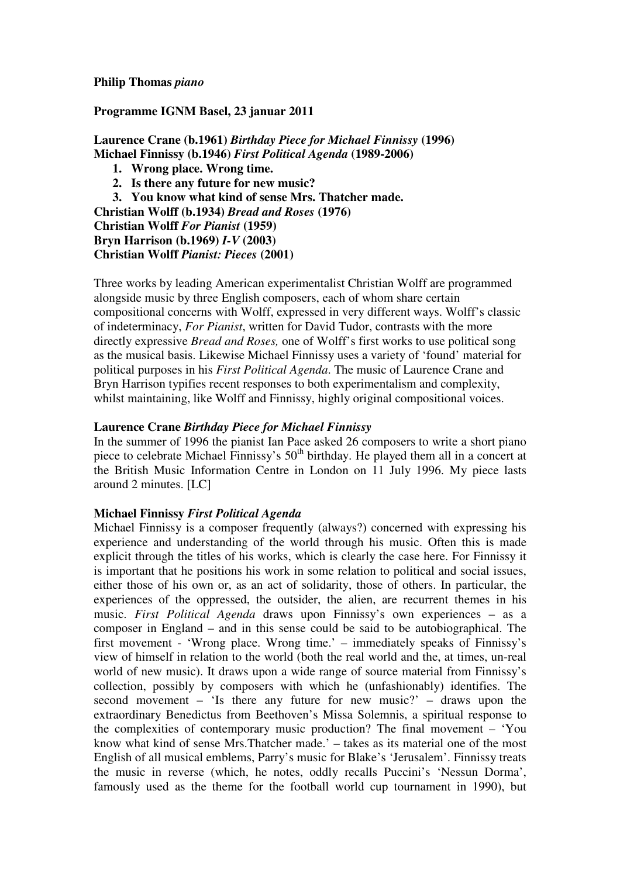# **Philip Thomas** *piano*

# **Programme IGNM Basel, 23 januar 2011**

**Laurence Crane (b.1961)** *Birthday Piece for Michael Finnissy* **(1996) Michael Finnissy (b.1946)** *First Political Agenda* **(1989-2006)** 

- **1. Wrong place. Wrong time.**
- **2. Is there any future for new music?**
- **3. You know what kind of sense Mrs. Thatcher made.**

**Christian Wolff (b.1934)** *Bread and Roses* **(1976)** 

**Christian Wolff** *For Pianist* **(1959)** 

**Bryn Harrison (b.1969)** *I-V* **(2003) Christian Wolff** *Pianist: Pieces* **(2001)** 

Three works by leading American experimentalist Christian Wolff are programmed alongside music by three English composers, each of whom share certain compositional concerns with Wolff, expressed in very different ways. Wolff's classic of indeterminacy, *For Pianist*, written for David Tudor, contrasts with the more directly expressive *Bread and Roses,* one of Wolff's first works to use political song as the musical basis. Likewise Michael Finnissy uses a variety of 'found' material for political purposes in his *First Political Agenda*. The music of Laurence Crane and Bryn Harrison typifies recent responses to both experimentalism and complexity, whilst maintaining, like Wolff and Finnissy, highly original compositional voices.

# **Laurence Crane** *Birthday Piece for Michael Finnissy*

In the summer of 1996 the pianist Ian Pace asked 26 composers to write a short piano piece to celebrate Michael Finnissy's  $50<sup>th</sup>$  birthday. He played them all in a concert at the British Music Information Centre in London on 11 July 1996. My piece lasts around 2 minutes. [LC]

# **Michael Finnissy** *First Political Agenda*

Michael Finnissy is a composer frequently (always?) concerned with expressing his experience and understanding of the world through his music. Often this is made explicit through the titles of his works, which is clearly the case here. For Finnissy it is important that he positions his work in some relation to political and social issues, either those of his own or, as an act of solidarity, those of others. In particular, the experiences of the oppressed, the outsider, the alien, are recurrent themes in his music. *First Political Agenda* draws upon Finnissy's own experiences – as a composer in England – and in this sense could be said to be autobiographical. The first movement - 'Wrong place. Wrong time.' – immediately speaks of Finnissy's view of himself in relation to the world (both the real world and the, at times, un-real world of new music). It draws upon a wide range of source material from Finnissy's collection, possibly by composers with which he (unfashionably) identifies. The second movement – 'Is there any future for new music?' – draws upon the extraordinary Benedictus from Beethoven's Missa Solemnis, a spiritual response to the complexities of contemporary music production? The final movement – 'You know what kind of sense Mrs.Thatcher made.' – takes as its material one of the most English of all musical emblems, Parry's music for Blake's 'Jerusalem'. Finnissy treats the music in reverse (which, he notes, oddly recalls Puccini's 'Nessun Dorma', famously used as the theme for the football world cup tournament in 1990), but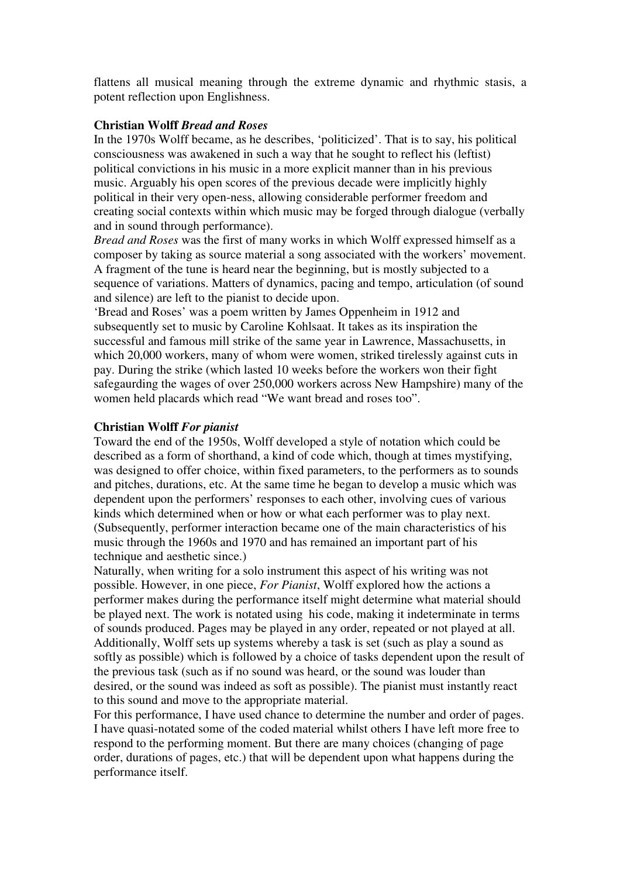flattens all musical meaning through the extreme dynamic and rhythmic stasis, a potent reflection upon Englishness.

#### **Christian Wolff** *Bread and Roses*

In the 1970s Wolff became, as he describes, 'politicized'. That is to say, his political consciousness was awakened in such a way that he sought to reflect his (leftist) political convictions in his music in a more explicit manner than in his previous music. Arguably his open scores of the previous decade were implicitly highly political in their very open-ness, allowing considerable performer freedom and creating social contexts within which music may be forged through dialogue (verbally and in sound through performance).

*Bread and Roses* was the first of many works in which Wolff expressed himself as a composer by taking as source material a song associated with the workers' movement. A fragment of the tune is heard near the beginning, but is mostly subjected to a sequence of variations. Matters of dynamics, pacing and tempo, articulation (of sound and silence) are left to the pianist to decide upon.

'Bread and Roses' was a poem written by James Oppenheim in 1912 and subsequently set to music by Caroline Kohlsaat. It takes as its inspiration the successful and famous mill strike of the same year in Lawrence, Massachusetts, in which 20,000 workers, many of whom were women, striked tirelessly against cuts in pay. During the strike (which lasted 10 weeks before the workers won their fight safegaurding the wages of over 250,000 workers across New Hampshire) many of the women held placards which read "We want bread and roses too".

#### **Christian Wolff** *For pianist*

Toward the end of the 1950s, Wolff developed a style of notation which could be described as a form of shorthand, a kind of code which, though at times mystifying, was designed to offer choice, within fixed parameters, to the performers as to sounds and pitches, durations, etc. At the same time he began to develop a music which was dependent upon the performers' responses to each other, involving cues of various kinds which determined when or how or what each performer was to play next. (Subsequently, performer interaction became one of the main characteristics of his music through the 1960s and 1970 and has remained an important part of his technique and aesthetic since.)

Naturally, when writing for a solo instrument this aspect of his writing was not possible. However, in one piece, *For Pianist*, Wolff explored how the actions a performer makes during the performance itself might determine what material should be played next. The work is notated using his code, making it indeterminate in terms of sounds produced. Pages may be played in any order, repeated or not played at all. Additionally, Wolff sets up systems whereby a task is set (such as play a sound as softly as possible) which is followed by a choice of tasks dependent upon the result of the previous task (such as if no sound was heard, or the sound was louder than desired, or the sound was indeed as soft as possible). The pianist must instantly react to this sound and move to the appropriate material.

For this performance, I have used chance to determine the number and order of pages. I have quasi-notated some of the coded material whilst others I have left more free to respond to the performing moment. But there are many choices (changing of page order, durations of pages, etc.) that will be dependent upon what happens during the performance itself.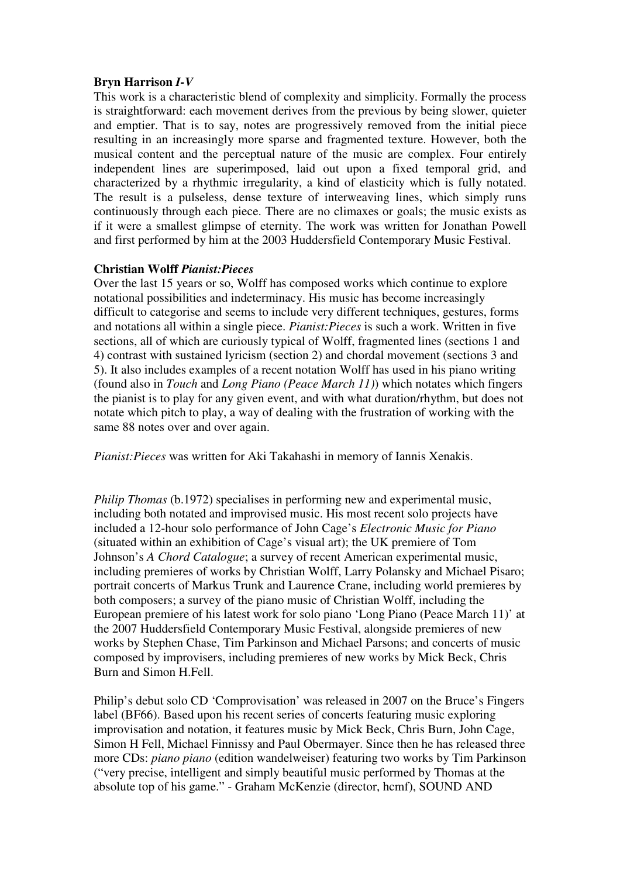# **Bryn Harrison** *I-V*

This work is a characteristic blend of complexity and simplicity. Formally the process is straightforward: each movement derives from the previous by being slower, quieter and emptier. That is to say, notes are progressively removed from the initial piece resulting in an increasingly more sparse and fragmented texture. However, both the musical content and the perceptual nature of the music are complex. Four entirely independent lines are superimposed, laid out upon a fixed temporal grid, and characterized by a rhythmic irregularity, a kind of elasticity which is fully notated. The result is a pulseless, dense texture of interweaving lines, which simply runs continuously through each piece. There are no climaxes or goals; the music exists as if it were a smallest glimpse of eternity. The work was written for Jonathan Powell and first performed by him at the 2003 Huddersfield Contemporary Music Festival.

# **Christian Wolff** *Pianist:Pieces*

Over the last 15 years or so, Wolff has composed works which continue to explore notational possibilities and indeterminacy. His music has become increasingly difficult to categorise and seems to include very different techniques, gestures, forms and notations all within a single piece. *Pianist:Pieces* is such a work. Written in five sections, all of which are curiously typical of Wolff, fragmented lines (sections 1 and 4) contrast with sustained lyricism (section 2) and chordal movement (sections 3 and 5). It also includes examples of a recent notation Wolff has used in his piano writing (found also in *Touch* and *Long Piano (Peace March 11)*) which notates which fingers the pianist is to play for any given event, and with what duration/rhythm, but does not notate which pitch to play, a way of dealing with the frustration of working with the same 88 notes over and over again.

*Pianist:Pieces* was written for Aki Takahashi in memory of Iannis Xenakis.

*Philip Thomas* (b.1972) specialises in performing new and experimental music, including both notated and improvised music. His most recent solo projects have included a 12-hour solo performance of John Cage's *Electronic Music for Piano*  (situated within an exhibition of Cage's visual art); the UK premiere of Tom Johnson's *A Chord Catalogue*; a survey of recent American experimental music, including premieres of works by Christian Wolff, Larry Polansky and Michael Pisaro; portrait concerts of Markus Trunk and Laurence Crane, including world premieres by both composers; a survey of the piano music of Christian Wolff, including the European premiere of his latest work for solo piano 'Long Piano (Peace March 11)' at the 2007 Huddersfield Contemporary Music Festival, alongside premieres of new works by Stephen Chase, Tim Parkinson and Michael Parsons; and concerts of music composed by improvisers, including premieres of new works by Mick Beck, Chris Burn and Simon H.Fell.

Philip's debut solo CD 'Comprovisation' was released in 2007 on the Bruce's Fingers label (BF66). Based upon his recent series of concerts featuring music exploring improvisation and notation, it features music by Mick Beck, Chris Burn, John Cage, Simon H Fell, Michael Finnissy and Paul Obermayer. Since then he has released three more CDs: *piano piano* (edition wandelweiser) featuring two works by Tim Parkinson ("very precise, intelligent and simply beautiful music performed by Thomas at the absolute top of his game." - Graham McKenzie (director, hcmf), SOUND AND